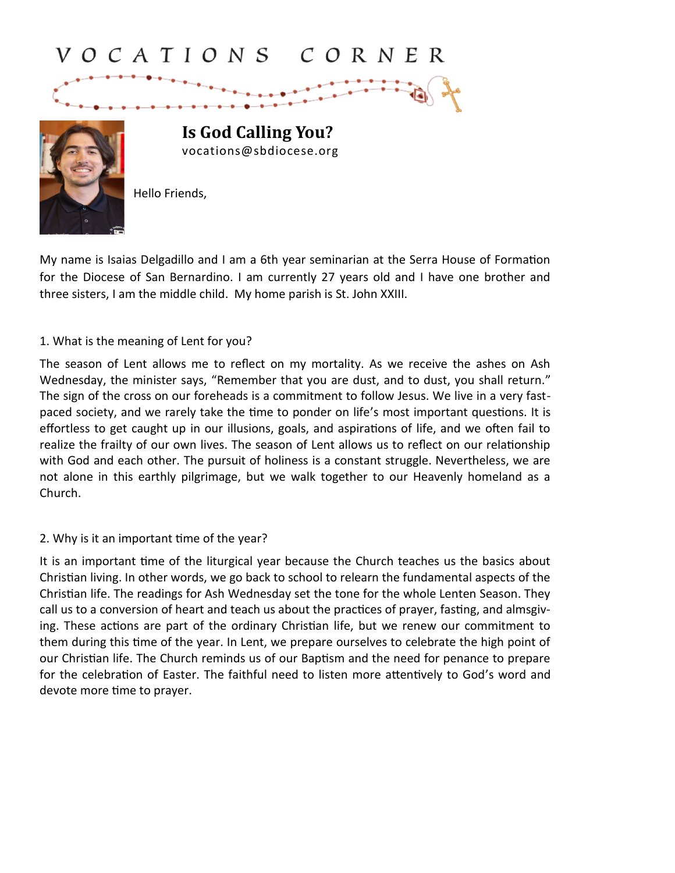# VOCATIONS CORNER



**Is God Calling You?** vocations@sbdiocese.org

Hello Friends,

My name is Isaias Delgadillo and I am a 6th year seminarian at the Serra House of Formation for the Diocese of San Bernardino. I am currently 27 years old and I have one brother and three sisters, I am the middle child. My home parish is St. John XXIII.

### 1. What is the meaning of Lent for you?

The season of Lent allows me to reflect on my mortality. As we receive the ashes on Ash Wednesday, the minister says, "Remember that you are dust, and to dust, you shall return." The sign of the cross on our foreheads is a commitment to follow Jesus. We live in a very fastpaced society, and we rarely take the time to ponder on life's most important questions. It is effortless to get caught up in our illusions, goals, and aspirations of life, and we often fail to realize the frailty of our own lives. The season of Lent allows us to reflect on our relationship with God and each other. The pursuit of holiness is a constant struggle. Nevertheless, we are not alone in this earthly pilgrimage, but we walk together to our Heavenly homeland as a Church.

### 2. Why is it an important time of the year?

It is an important time of the liturgical year because the Church teaches us the basics about Christian living. In other words, we go back to school to relearn the fundamental aspects of the Christian life. The readings for Ash Wednesday set the tone for the whole Lenten Season. They call us to a conversion of heart and teach us about the practices of prayer, fasting, and almsgiving. These actions are part of the ordinary Christian life, but we renew our commitment to them during this time of the year. In Lent, we prepare ourselves to celebrate the high point of our Christian life. The Church reminds us of our Baptism and the need for penance to prepare for the celebration of Easter. The faithful need to listen more attentively to God's word and devote more time to prayer.